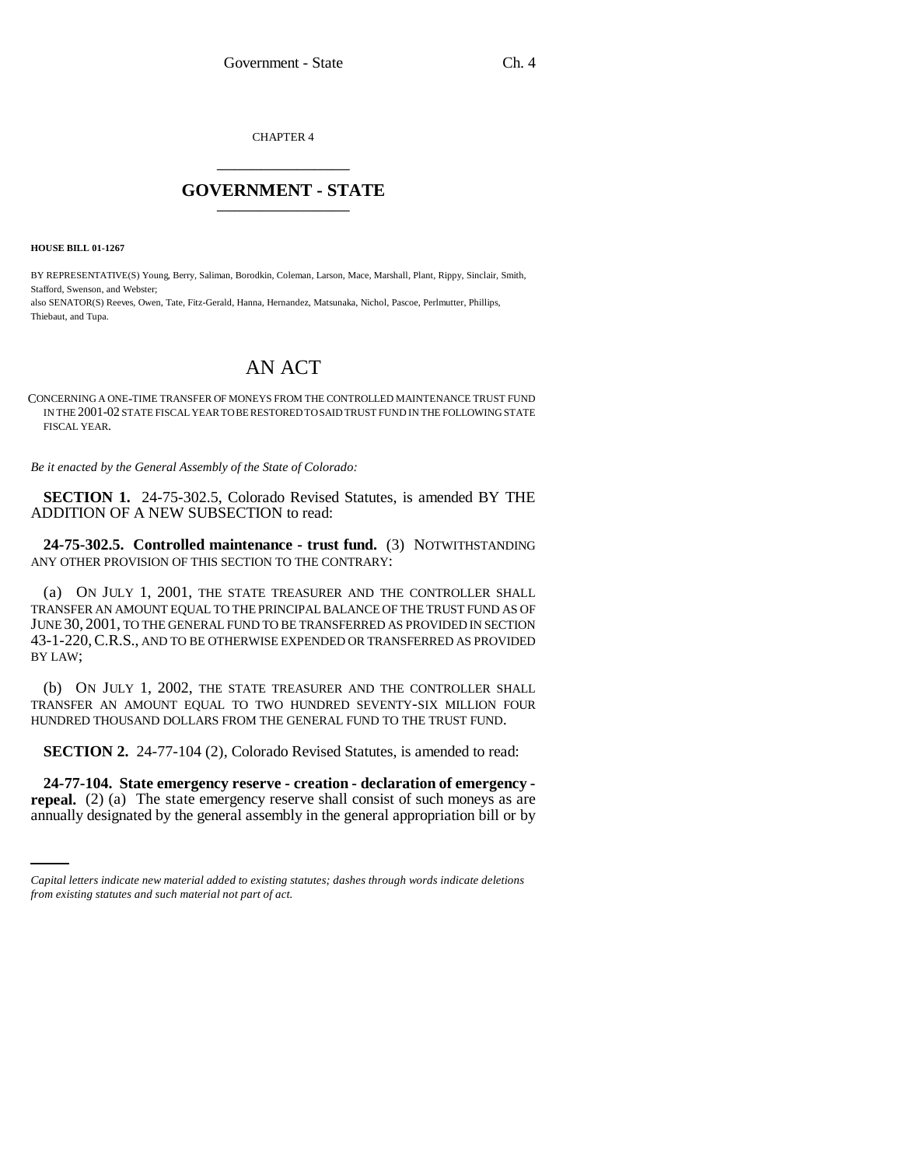CHAPTER 4 \_\_\_\_\_\_\_\_\_\_\_\_\_\_\_

## **GOVERNMENT - STATE** \_\_\_\_\_\_\_\_\_\_\_\_\_\_\_

**HOUSE BILL 01-1267**

BY REPRESENTATIVE(S) Young, Berry, Saliman, Borodkin, Coleman, Larson, Mace, Marshall, Plant, Rippy, Sinclair, Smith, Stafford, Swenson, and Webster;

also SENATOR(S) Reeves, Owen, Tate, Fitz-Gerald, Hanna, Hernandez, Matsunaka, Nichol, Pascoe, Perlmutter, Phillips, Thiebaut, and Tupa.

## AN ACT

CONCERNING A ONE-TIME TRANSFER OF MONEYS FROM THE CONTROLLED MAINTENANCE TRUST FUND IN THE 2001-02 STATE FISCAL YEAR TO BE RESTORED TO SAID TRUST FUND IN THE FOLLOWING STATE FISCAL YEAR.

*Be it enacted by the General Assembly of the State of Colorado:*

**SECTION 1.** 24-75-302.5, Colorado Revised Statutes, is amended BY THE ADDITION OF A NEW SUBSECTION to read:

**24-75-302.5. Controlled maintenance - trust fund.** (3) NOTWITHSTANDING ANY OTHER PROVISION OF THIS SECTION TO THE CONTRARY:

(a) ON JULY 1, 2001, THE STATE TREASURER AND THE CONTROLLER SHALL TRANSFER AN AMOUNT EQUAL TO THE PRINCIPAL BALANCE OF THE TRUST FUND AS OF JUNE 30, 2001, TO THE GENERAL FUND TO BE TRANSFERRED AS PROVIDED IN SECTION 43-1-220,C.R.S., AND TO BE OTHERWISE EXPENDED OR TRANSFERRED AS PROVIDED BY LAW;

(b) ON JULY 1, 2002, THE STATE TREASURER AND THE CONTROLLER SHALL TRANSFER AN AMOUNT EQUAL TO TWO HUNDRED SEVENTY-SIX MILLION FOUR HUNDRED THOUSAND DOLLARS FROM THE GENERAL FUND TO THE TRUST FUND.

**SECTION 2.** 24-77-104 (2), Colorado Revised Statutes, is amended to read:

 **24-77-104. State emergency reserve - creation - declaration of emergency repeal.** (2) (a) The state emergency reserve shall consist of such moneys as are annually designated by the general assembly in the general appropriation bill or by

*Capital letters indicate new material added to existing statutes; dashes through words indicate deletions from existing statutes and such material not part of act.*